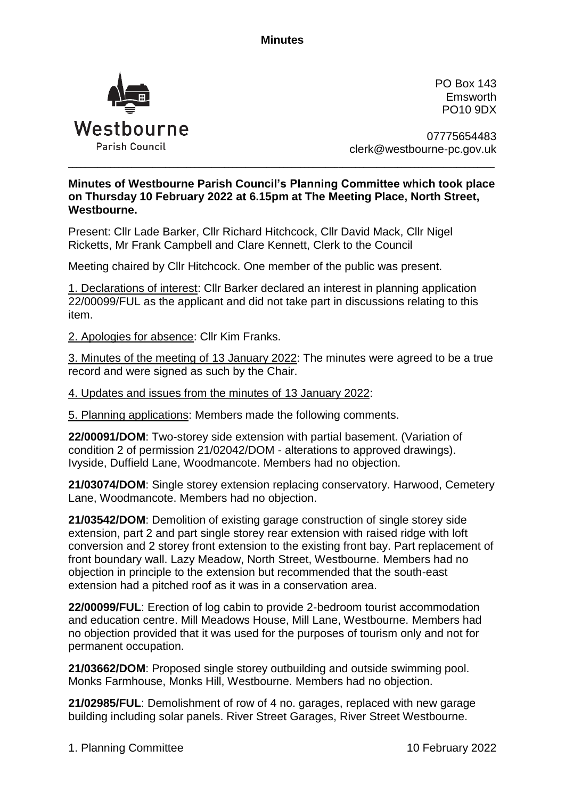**Minutes**



PO Box 143 Emsworth PO10 9DX

07775654483 clerk@westbourne-pc.gov.uk

## **Minutes of Westbourne Parish Council's Planning Committee which took place on Thursday 10 February 2022 at 6.15pm at The Meeting Place, North Street, Westbourne.**

\_\_\_\_\_\_\_\_\_\_\_\_\_\_\_\_\_\_\_\_\_\_\_\_\_\_\_\_\_\_\_\_\_\_\_\_\_\_\_\_\_\_\_\_\_\_\_\_\_\_\_\_\_\_\_\_\_\_\_\_\_\_\_\_\_\_\_\_\_\_\_\_\_\_\_\_\_\_\_\_\_\_\_\_\_\_\_\_\_\_\_\_\_\_\_\_\_\_\_\_\_

Present: Cllr Lade Barker, Cllr Richard Hitchcock, Cllr David Mack, Cllr Nigel Ricketts, Mr Frank Campbell and Clare Kennett, Clerk to the Council

Meeting chaired by Cllr Hitchcock. One member of the public was present.

1. Declarations of interest: Cllr Barker declared an interest in planning application 22/00099/FUL as the applicant and did not take part in discussions relating to this item.

2. Apologies for absence: Cllr Kim Franks.

3. Minutes of the meeting of 13 January 2022: The minutes were agreed to be a true record and were signed as such by the Chair.

4. Updates and issues from the minutes of 13 January 2022:

5. Planning applications: Members made the following comments.

**22/00091/DOM**: Two-storey side extension with partial basement. (Variation of condition 2 of permission 21/02042/DOM - alterations to approved drawings). Ivyside, Duffield Lane, Woodmancote. Members had no objection.

**21/03074/DOM**: Single storey extension replacing conservatory. Harwood, Cemetery Lane, Woodmancote. Members had no objection.

**21/03542/DOM**: Demolition of existing garage construction of single storey side extension, part 2 and part single storey rear extension with raised ridge with loft conversion and 2 storey front extension to the existing front bay. Part replacement of front boundary wall. Lazy Meadow, North Street, Westbourne. Members had no objection in principle to the extension but recommended that the south-east extension had a pitched roof as it was in a conservation area.

**22/00099/FUL**: Erection of log cabin to provide 2-bedroom tourist accommodation and education centre. Mill Meadows House, Mill Lane, Westbourne. Members had no objection provided that it was used for the purposes of tourism only and not for permanent occupation.

**21/03662/DOM**: Proposed single storey outbuilding and outside swimming pool. Monks Farmhouse, Monks Hill, Westbourne. Members had no objection.

**21/02985/FUL**: Demolishment of row of 4 no. garages, replaced with new garage building including solar panels. River Street Garages, River Street Westbourne.